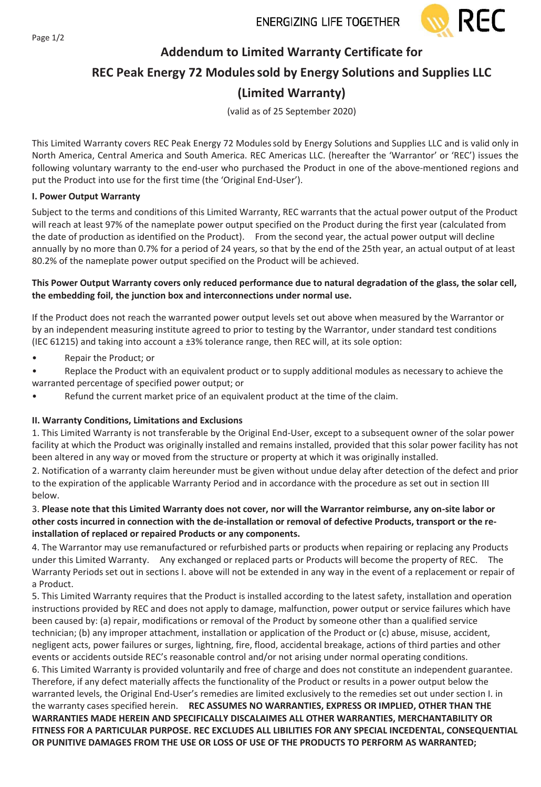

## **Addendum to Limited Warranty Certificate for**

# **REC Peak Energy 72 Modulessold by Energy Solutions and Supplies LLC**

# **(Limited Warranty)**

(valid as of 25 September 2020)

This Limited Warranty covers REC Peak Energy 72 Modulessold by Energy Solutions and Supplies LLC and is valid only in North America, Central America and South America. REC Americas LLC. (hereafter the 'Warrantor' or 'REC') issues the following voluntary warranty to the end-user who purchased the Product in one of the above-mentioned regions and put the Product into use for the first time (the 'Original End-User').

## **I. Power Output Warranty**

Subject to the terms and conditions of this Limited Warranty, REC warrants that the actual power output of the Product will reach at least 97% of the nameplate power output specified on the Product during the first year (calculated from the date of production as identified on the Product). From the second year, the actual power output will decline annually by no more than 0.7% for a period of 24 years, so that by the end of the 25th year, an actual output of at least 80.2% of the nameplate power output specified on the Product will be achieved.

#### **This Power Output Warranty covers only reduced performance due to natural degradation of the glass, the solar cell, the embedding foil, the junction box and interconnections under normal use.**

If the Product does not reach the warranted power output levels set out above when measured by the Warrantor or by an independent measuring institute agreed to prior to testing by the Warrantor, under standard test conditions (IEC 61215) and taking into account a ±3% tolerance range, then REC will, at its sole option:

- Repair the Product; or
- Replace the Product with an equivalent product or to supply additional modules as necessary to achieve the warranted percentage of specified power output; or
- Refund the current market price of an equivalent product at the time of the claim.

## **II. Warranty Conditions, Limitations and Exclusions**

1. This Limited Warranty is not transferable by the Original End-User, except to a subsequent owner of the solar power facility at which the Product was originally installed and remains installed, provided that this solar power facility has not been altered in any way or moved from the structure or property at which it was originally installed.

2. Notification of a warranty claim hereunder must be given without undue delay after detection of the defect and prior to the expiration of the applicable Warranty Period and in accordance with the procedure as set out in section III below.

### 3. **Please note that this Limited Warranty does not cover, nor will the Warrantor reimburse, any on-site labor or other costs incurred in connection with the de-installation or removal of defective Products, transport or the reinstallation of replaced or repaired Products or any components.**

4. The Warrantor may use remanufactured or refurbished parts or products when repairing or replacing any Products under this Limited Warranty. Any exchanged or replaced parts or Products will become the property of REC. The Warranty Periods set out in sections I. above will not be extended in any way in the event of a replacement or repair of a Product.

5. This Limited Warranty requires that the Product is installed according to the latest safety, installation and operation instructions provided by REC and does not apply to damage, malfunction, power output or service failures which have been caused by: (a) repair, modifications or removal of the Product by someone other than a qualified service technician; (b) any improper attachment, installation or application of the Product or (c) abuse, misuse, accident, negligent acts, power failures or surges, lightning, fire, flood, accidental breakage, actions of third parties and other events or accidents outside REC's reasonable control and/or not arising under normal operating conditions. 6. This Limited Warranty is provided voluntarily and free of charge and does not constitute an independent guarantee. Therefore, if any defect materially affects the functionality of the Product or results in a power output below the warranted levels, the Original End-User's remedies are limited exclusively to the remedies set out under section I. in the warranty cases specified herein. **REC ASSUMES NO WARRANTIES, EXPRESS OR IMPLIED, OTHER THAN THE WARRANTIES MADE HEREIN AND SPECIFICALLY DISCALAIMES ALL OTHER WARRANTIES, MERCHANTABILITY OR FITNESS FOR A PARTICULAR PURPOSE. REC EXCLUDES ALL LIBILITIES FOR ANY SPECIAL INCEDENTAL, CONSEQUENTIAL OR PUNITIVE DAMAGES FROM THE USE OR LOSS OF USE OF THE PRODUCTS TO PERFORM AS WARRANTED;**